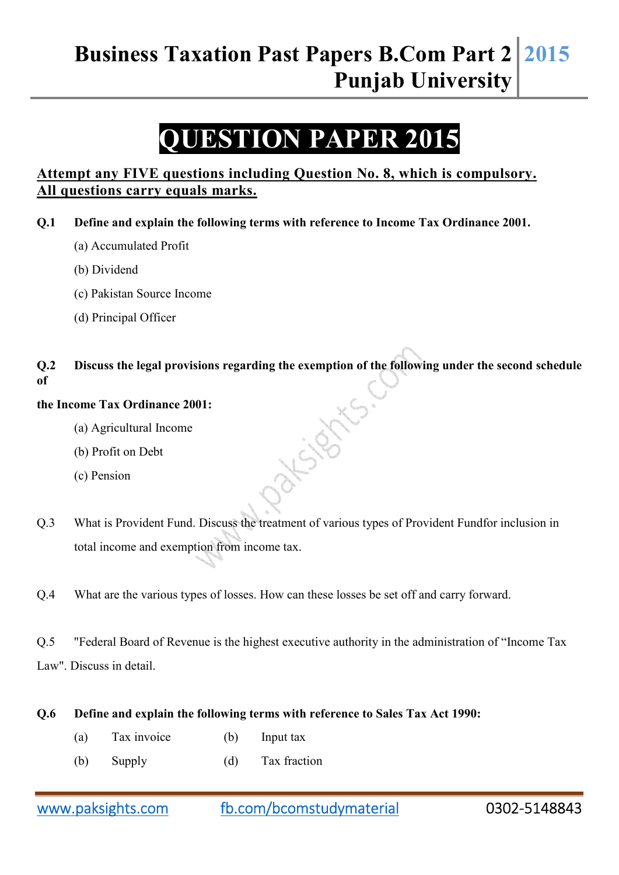# **Business Taxation Past Papers B.Com Part 2 Punjab University 2015**

# **QUESTION PAPER 2015**

## **Attempt any FIVE questions including Question No. 8, which is compulsory. All questions carry equals marks.**

**Q.1 Define and explain the following terms with reference to Income Tax Ordinance 2001.** 

- (a) Accumulated Profit
- (b) Dividend
- (c) Pakistan Source Income
- (d) Principal Officer

## **Q.2 Discuss the legal provisions regarding the exemption of the following under the second schedule of**

D-Y-S-D-X

### **the Income Tax Ordinance 2001:**

- (a) Agricultural Income
- (b) Profit on Debt
- (c) Pension
- Q.3 What is Provident Fund. Discuss the treatment of various types of Provident Fundfor inclusion in total income and exemption from income tax.
- Q.4 What are the various types of losses. How can these losses be set off and carry forward.
- Q.5 "Federal Board of Revenue is the highest executive authority in the administration of "Income Tax Law". Discuss in detail.

#### **Q.6 Define and explain the following terms with reference to Sales Tax Act 1990:**

- (a) Tax invoice (b) Input tax
- (b) Supply (d) Tax fraction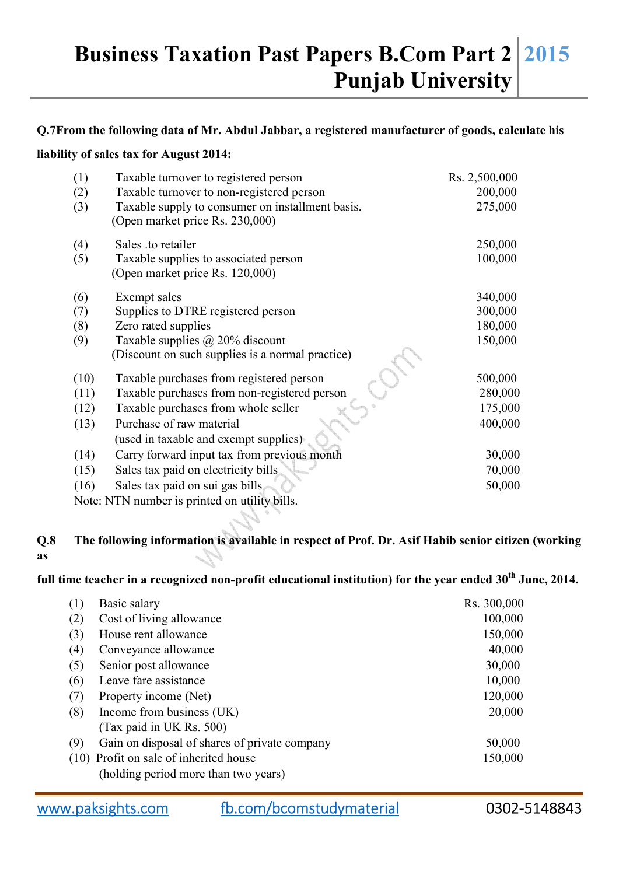## **Business Taxation Past Papers B.Com Part 2 Punjab University 2015**

#### **Q.7From the following data of Mr. Abdul Jabbar, a registered manufacturer of goods, calculate his**

#### **liability of sales tax for August 2014:**

| (1)  | Taxable turnover to registered person            | Rs. 2,500,000 |
|------|--------------------------------------------------|---------------|
| (2)  | Taxable turnover to non-registered person        | 200,000       |
| (3)  | Taxable supply to consumer on installment basis. | 275,000       |
|      | (Open market price Rs. 230,000)                  |               |
| (4)  | Sales .to retailer                               | 250,000       |
| (5)  | Taxable supplies to associated person            | 100,000       |
|      | (Open market price Rs. 120,000)                  |               |
| (6)  | Exempt sales                                     | 340,000       |
| (7)  | Supplies to DTRE registered person               | 300,000       |
| (8)  | Zero rated supplies                              | 180,000       |
| (9)  | Taxable supplies $\omega$ 20% discount           | 150,000       |
|      | (Discount on such supplies is a normal practice) |               |
| (10) | Taxable purchases from registered person         | 500,000       |
| (11) | Taxable purchases from non-registered person     | 280,000       |
| (12) | Taxable purchases from whole seller              | 175,000       |
| (13) | Purchase of raw material                         | 400,000       |
|      | (used in taxable and exempt supplies)            |               |
| (14) | Carry forward input tax from previous month      | 30,000        |
| (15) | Sales tax paid on electricity bills              | 70,000        |
| (16) | Sales tax paid on sui gas bills                  | 50,000        |
|      | Note: NTN number is printed on utility bills.    |               |

## **Q.8 The following information is available in respect of Prof. Dr. Asif Habib senior citizen (working as**

# **full time teacher in a recognized non-profit educational institution) for the year ended 30th June, 2014.**

| (1) | Basic salary                                  | Rs. 300,000 |
|-----|-----------------------------------------------|-------------|
| (2) | Cost of living allowance                      | 100,000     |
| (3) | House rent allowance                          | 150,000     |
| (4) | Conveyance allowance                          | 40,000      |
| (5) | Senior post allowance                         | 30,000      |
| (6) | Leave fare assistance                         | 10,000      |
| (7) | Property income (Net)                         | 120,000     |
| (8) | Income from business (UK)                     | 20,000      |
|     | (Tax paid in UK Rs. 500)                      |             |
| (9) | Gain on disposal of shares of private company | 50,000      |
|     | (10) Profit on sale of inherited house        | 150,000     |
|     | (holding period more than two years)          |             |

www.paksights.com fb.com/bcomstudymaterial 0302-5148843